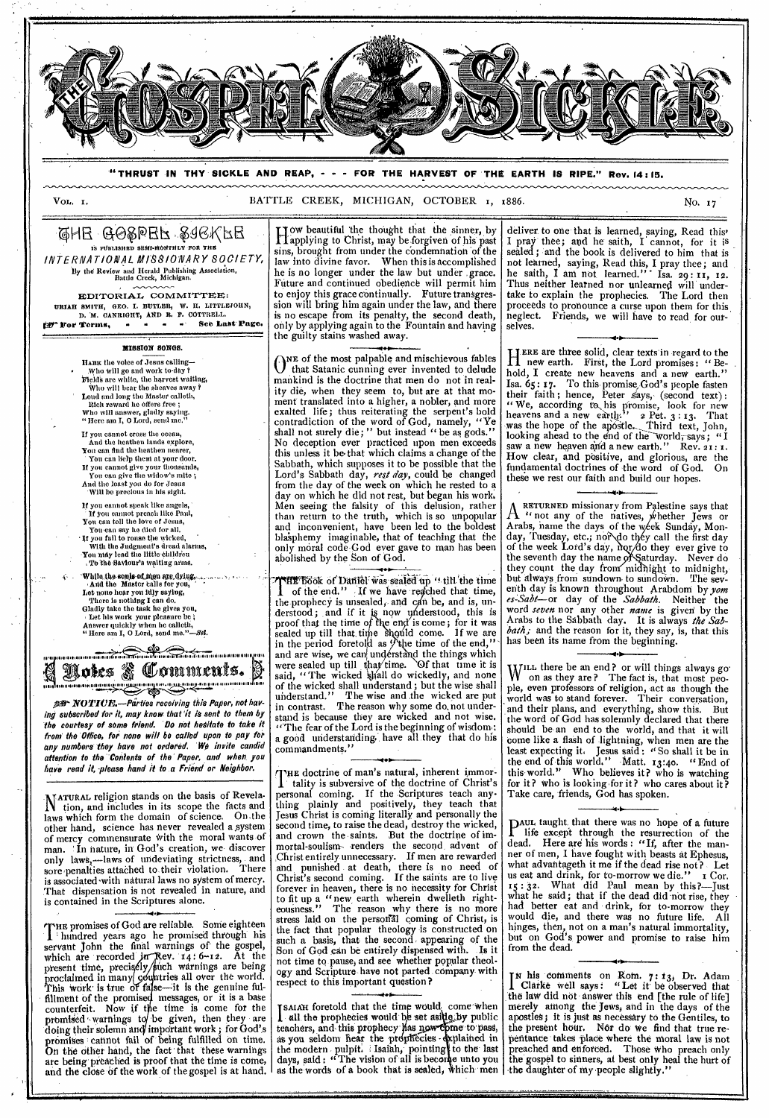

"THRUST IN THY SICKLE AND REAP, - - - FOR THE HARVEST OF THE EARTH IS RIPE." Rev. 14:15.

BATTLE CREEK, MICHIGAN, OCTOBER 1, 1886.

QHE GOSPEF SIGKFE IS PUBLISHED SEMI-MONTHLY FOR THE INTERNATIONAL MISSIONARY SOCIETY,

Vol. I.

By the Review and Herald Publishing Association, Battle Creek, Michigan.

EDITORIAL COMMITTEE: URIAH SMITH, GEO. I. BUTLER, W. H. LITTLEJOHN, D. M. CANRIGHT, AND R. F. COTTRELL. tor Terms. .<br>Пар  $\sim 10^{-1}$  and See Last Page.

## **MISSION SONGS.**

HARK the voice of Jesus calling-MAKE the voice of Jesus canning—<br>
Who will go and work to-day?<br>
Pields are white, the harvest waiting,<br>
Pields are white, the harvest waiting,<br>
Loud and long the Master calleti,<br>
Little reward he offers free;<br>
Who will ans

If you cannot cross the ocean,<br>And the heathen lands explore,

- 
- And the heathen hands explore,<br>
Tou can lielp them at your door,<br>
If you can lielp them at your door,<br>
If you cannot give your thousands,<br>
You can give the widow's mite ;
- And the least you do for Jesus<br>Will be precious in his sight.

If you eannot speak like angels,

- 
- 
- 
- If you cannot speak like angels,<br>
If you cannot preach like Paul,<br>
You can toll the love of Jesus,<br>
You can any he died for all.<br>
If you fail to rouse the wicked,<br>
with the Judgment's dread alarms,<br>
You may lead the little
- 
- While the souls of men are dying.
- 
- 
- And the Master calls for you,<br>
Let note hear you idly saying,<br>
There is nothing I can do.<br>
Gladly take the task he gives you,<br>
Let his work your pleasure be;<br>
agree the same of the same of the same of the same of the same
- Answer quickly when he calleth,<br>"Here am I, O Lord, send me."-Sel.

a antonio all'un articola della **Yokes & Comments. RECONDEND AND RESERVED DESCRIPTION OF REAL PROPERTY AND INCOME.** 

per NOTIUE. Parties receiving this Paper, not having subscribed for it, may know that it is sent to them by the courtesy of some friend. Do not hesitate to take it from the Office, for none will be called upon to pay for any numbers they have not ordered. We invite candid attention to the Contents of the Paper, and when you have read it, please hand it to a Friend or Neighbor.

NATURAL religion stands on the basis of Revela-Natural tengton stands on the blass of Reveal<br>laws which form the domain of science. On the other hand, science has never revealed a system<br>of mercy commensurate with the moral wants of man. In nature, in God's creation, we discover<br>only laws,—laws of undeviating strictness, and<br>sore penalties attached to their violation. There is associated with natural laws no system of mercy. That dispensation is not revealed in nature, and is contained in the Scriptures alone.

THE promises of God are reliable. Some eighteen<br>servant John the final warnings of the gospel,<br>which are recorded in Rev. 14:6-12. At the<br>present time, precisely/such warnings are being<br>proclaimed in many countries all ove fillment of the promised messages, or it is a base<br>counterfeit. Now if the time is come for the<br>promised warnings to be given, then they are doing their solemn and important work; for God's promises cannot fail of being fulfilled on time. On the other hand, the fact that these warnings<br>are being preached is proof that the time is come,<br>and the close of the work of the gospel is at hand.

I low beautiful the thought that the sinner, by<br>I applying to Christ, may be forgiven of his past<br>sins, brought from under the condemnation of the<br>law into divine favor. When this is accomplished<br>he is no longer under the Future and continued obedience will permit him to enjoy this grace continually. Future transgression will bring him again under the law, and there is no escape from its penalty, the second death, only by applying again to the Fountain and having the guilty stains washed away.

ONE of the most palpable and mischievous fables<br>that Satanic cunning ever invented to delude mankind is the doctrine that men do not in reality die, when they seem to, but are at that moment translated into a higher, a nobler, and more exalted life; thus reiterating the serpent's bold contradiction of the word of God, namely, "Ye shall not surely die;" but instead "be as gods." Shall not surely die; but instead the as gods.<br>No deception ever practiced upon men exceeds<br>this unless it be that which claims a change of the Sabbath, which supposes it to be possible that the Lord's Sabbath day, rest day, could be changed<br>from the day of the week on which he rested to a day on which he did not rest, but began his work. Men seeing the falsity of this delusion, rather<br>than return to the truth, which is so unpopular<br>and inconvenient, have been led to the boldest blasphemy imaginable, that of teaching that the<br>only moral code God ever gave to man has been<br>abolished by the Son of God.

THE book of Daniel was sealed up "till the time<br>of the end." If we have reached that time,<br>the prophecy is unsealed, and can be, and is, unthe prophecy is unsealed, and can be, and is, understood; and if it is now understood, this is<br>proof that the time of the end is come; for it was<br>sealed up till that time should come. If we are<br>in the period foretold as  $\$ of the wicked shall understand; but the wise shall<br>understand." The wise and the wicked are put<br>in contrast. The reason why some do not understand is because they are wicked and not wise. "The fear of the Lord is the beginning of wisdom; a good understanding. have all they that do his commandments."

THE doctrine of man's natural, inherent immor-<br>
tality is subversive of the doctrine of Christ's<br>
personal coming. If the Scriptures teach any-<br>
thing plainly and positively, they teach that<br>
Jesus Christ is coming literal second time, to raise the dead, destroy the wicked,<br>and crown the saints. But the doctrine of im-<br>mortal-soulism-venders the second advent of<br>Christentirely unnecessary. If men are rewarded<br>and punished at death, there is to fit up a "new earth wherein dwelleth right-<br>eousness." The reason why there is no more eousness." The reason why there is no more stress laid on the personal coming of Christ, is the fact that popular theology is constructed on<br>such a basis, that the second appearing of the Son of God can be entirely dispensed with. Is it not time to pause, and see whether popular theolleading and Scripture have not parted company with<br>respect to this important question?

ISAIAH foretold that the time would come when<br>all the prophecies would be set aside by public To all the prophecies would be set assumed by public<br>teachers, and this prophecy has now come to pass,<br>as you seldom hear the prophecies - explained in<br>the modern pulpit. I Isaiah, pointing to the last<br>days, said: "The vis

deliver to one that is learned, saying, Read this' I pray thee; and he saith, I cannot, for it is<br>sealed; and the book is delivered to him that is not learned, saying, Read this, I pray thee; and<br>he saith, I am not learned." Isa. 29: 11, 12.<br>Thus neither learned nor unlearned will undertake to explain the prophecies. The Lord then proceeds to pronounce a curse upon them for this neglect. Friends, we will have to read for ourselves.

HERE are three solid, clear texts in regard to the<br>
H new earth. First, the Lord promises: "Behold, I create new heavens and a new earth." To this promise God's people fasten Isa. 65: 17. Isa. 05: 17. Lo this promise God's people rasten<br>their faith; hence, Peter says, (second text);<br>"We, according to, his promise, look for new<br>heavens and a new earth." 2 Pet. 3: 13. That<br>was the hope of the apostle... Thir How clear, and positive, and glorious, are the fundamental doctrines of the word of God. On these we rest our faith and build our hopes.

RETURNED missionary from Palestine says that A RETURNED IMISSIONALY HOME ANOWED THE VEHICLE THAT IS ON A TABLE THAT THE CALL THAT THE CALL THAT THE CALL THAT THE CALL THAT THE CALL THAT THE CALL THAT THE CALL THAT THE CALL THAT THE CALL THAT THE CALL THAT THE CALL TH day, Tuesday, etc.; nor do they call the first day of the week Lord's day, hor/do they ever give to<br>the seventh day the name of Saturday. Never do the seventh day the hand of Saturday. Never do<br>they count the day from midnight to midnight,<br>but always from sundown to sundown. The seventh day is known throughout Arabdom by yom es-Sabt-or day of the Sabbath. Neither the word seven nor any other name is given by the Arabs to the Sabbath day. It is always the Sabbath; and the reason for it, they say, is, that this has been its name from the beginning.

WILL there be an end? or will things always go<br>ople, even professors of religion, act as though the<br>world was to stand forever. Their conversation, and their plans, and everything, show this. But<br>the word of God has solemnly declared that there should be an end to the world, and that it will should be all end to the world, and that it was<br>come like a flash of lightning, when men are the<br>least expecting it. Jesus said: "So shall it be in<br>the end of this world." Matt. 13:40. "End of<br>this world." Who believes it for it? who is looking for it? who cares about it? Take care, friends, God has spoken.

PAUL taught that there was no hope of a future life except through the resurrection of the<br>d. Here are his words: "If, after the mandead. ner of men, I have fought with beasts at Ephesus, what advantageth it me if the dead rise not? Let us eat and drink, for to-morrow we die." I Cor.<br>15:32. What did Paul mean by this?—Just what he said; that if the dead did not rise, they had better eat and drink, for to-morrow they would die, and there was no future life. Aĺl hinges, then, not on a man's natural immortality,<br>but on God's power and promise to raise him from the dead.

In his comments on Rom. 7: 13, Dr. Adam<br>Clarke well says: "Let it be observed that<br>the law did not answer this end [the rule of life] merely among the Jews, and in the days of the apostles; it is just as necessary to the Gentiles, to the present hour. Nor do we find that true repentance takes place where the moral law is not<br>preached and enforced. Those who preach only<br>the gospel to sinners, at best only heal the hurt of the daughter of my people slightly."

No. 17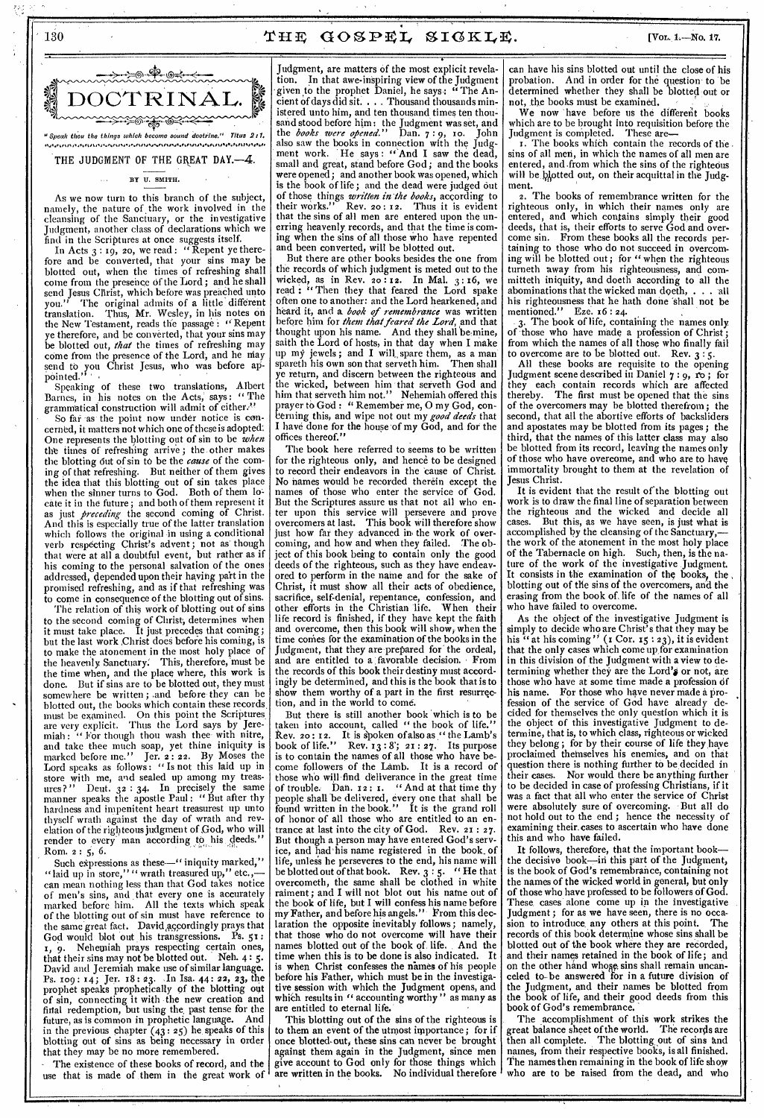# 130  $\texttt{THE GOSEEL}$   $\texttt{SICKLE}$ . [Vor. 1.—No. 17.

### BY U. SMITH.

As we now turn to this branch of the subject, namely, the nature of the work involved in the cleansing of the Sanctuary, or the investigative Judgment, another class of declarations which we find in the Scriptures at once suggests itself.

In Acts  $3:19$ , 20, we read : "Repent ye therefore and be converted, that your sins may be blotted out, when the times of refreshing shall come from the presence of the Lord; and he shall send Jesus Christ, which before was preached unto you." The original admits of a little different translation. Thus, Mr. Wesley, in his notes on the New Testament, reads the passage: "Repent ye therefore, and be converted, that your sins may be blotted out, *that* the times of refreshing may come from the presence of the Lord, and he may send to you Christ Jesus, who was before appointed.'<sup>1</sup>

Speaking of these two translations, Albert Barnes, in his notes on the Acts; says : " The grammatical construction will admit of either."

So far as the point now under notice is concerned, it matters not which one of these is adopted: One represents the blotting out of sin to be *when the* times of refreshing arrive ; the. other makes the blotting 6ut of sin to be the *cause* of the coming of that refreshing. But neither of them gives the idea that this blotting out of sin takes place when the sinner turns to God. Both of them cate it in the future; and both of them represent it just *preceding* the second coming of Christ. And this is especially true of the latter translation which follows the original in using a conditional verb respecting Christ's advent; not as though that were at all a doubtful event, but rather as if his coming to the personal salvation of the ones addressed, depended upon their having part in the promised refreshing, and as if that refreshing was to come in consequence of the blotting out of sins.

The relation of this work of blotting out of sins to the second coming of Christ, determines when it must take place. It just precedes that coming; but the last work Christ does before his coming, is to make the atonement in the most holy place of<br>the heavenly Sanctuary. This, therefore, must be the heavenly Sanctuary: This, therefore, must be the time when, and the place where, this work is done. But if sins are to be blotted out, they must somewhere be written ; .and before they can be blotted out, the books which contain these records, must be examined. On this point the Scriptures, are very explicit. Thus the Lord says by Jeremiah : " For though thou wash thee' with nitre, and take thee much soap, yet thine iniquity is<br>marked before me." Jer. 2:22. By Moses the marked before me." Jer. 2 : 22. By Moses the Lord speaks as follows : " Is not this laid up in store with me, and sealed up among my treasures?" Deut.  $32 : 34$ . In precisely the same manner speaks the apostle Paul : " But after thy hardness and impenitent heart treasurest up unto thyself wrath against the day of wrath and revelation of the righteous judgment of God, who will render to every man according to his deeds." ROM. 2 : 5, 6.

Such expressions as these—" iniquity marked," "laid up in store," " wrath treasured up," etc.,can mean nothing less than that God takes notice of men's sins, and that every one is accurately marked before him. All the texts which speak of the blotting out of sin must have reference to the same great fact. David accordingly prays that God would blot out his transgressions. Ps. 51: 1, 9. Nehemiah prays respecting certain ones, that their sins may not be blotted out. Neh. 4 : 5. David and Jeremiah make use of similar language. Ps. 109: 14; Jer. 18: 23. In Isa. 44: 22, 23, the prophet speaks prophetically of the blotting out of sin, connecting it with the new creation and firtal redemption, but using the, past tense for the future, as is common in prophetic language. And in the previous chapter  $(43:25)$  he speaks of this blotting out of sins as being necessary in order that they may be no more remembered.

The existence of these books of record, and the use that is made of them in the great work of

• Judgment, are matters of the most explicit revelation. In that awe-inspiring view of the Judgment given to the prophet Daniel, he says: "The Ancient of days did sit. . . . Thousand thousands ministered unto him, and ten thousand times ten thousand stood before him: the Judgment was set, and the *books were opened."* Dan. 7: 9, ro. John also saw the books in connection with the Judgment work. He says: "And I saw the dead, small and great, stand before God; and the books were opened; and another book was opened, which is the book of life; and the dead were judged Out of those things *written in the books,* according to their works." Rev. 20 : 12. Thus it is evident that the sins of all men are entered upon the unerring heavenly records, and that the time is coming when the sins of all those who have repented and been converted, will be blotted out.

But there are other books besides the one from the records of which judgment is meted out to the wicked, as in Rev. 20:12. In Mal.  $3:16$ , we read : "Then they that feared the Lord spake often one to another: and the Lord hearkened, and heard it, and a. *book of remembrance* was written before him for *them that feared the Lord,* and that thought upon his name. And they shall be mine, saith the Lord of hosts, in that day when I make up my jewels; and I will spare them, as a man spareth his own son that serveth him. Then shall ye return, and discern between the righteous and the wicked, between him that serveth God and him that serveth him not." Nehemiah offered this prayer to God: " Kemember me, O my God, con-<br>cerning this, and wipe not out my *good deeds* that rayer to God : " Remember me, 0 my God, con-I have done for the house of my God, and for the offices thereof."

The book here referred to seems to be written for the righteous only, and hence to be designed to record their endeavors in the 'cause of Christ. No names would be recorded therein except the names of those who enter the service of But the Scriptures assure us that not all who enter upon this service will persevere and prove overcomers at last. This book will therefore show just how far they advanced in the work of overcoming, and how and when they failed. The object of this book being to contain only the good deeds of the righteous, such as they have endeavored to perform in the name and for the sake of Christ, it must show all their acts of obedience, sacrifice, self-denial, repentance, confession, and other efforts in the Christian life. When their life record is finished, if they have kept the faith and overcome, then this book will show, when the time conies for the examination of the books in the Judgment, that they are prepared for the ordeal, and are entitled to a favorable decision. From the records of this book their destiny must accordingly be determined, and this is the book that is to show them worthy of a part in the first resurrection, and in the world to come.

But there is still another book 'which is to be taken into account, called " the book of life." Rev. 20: 12. It is spoken of also as " the Lamb's book of life." Rev.  $13:8$ ; 21: 27. Its purpose book of life." Rev.  $13:8$ ;  $21:27$ . Its purpose<br>is to contain the names of all those who have become followers of the Lamb. It is a record of those who will find deliverance in the great time of trouble. Dan. 12 : I. " And at that time thy people shall 'be delivered, every one that shall be found written in the book." It is the grand roll of honor of all those who are entitled to an en-<br>trance at last into the city of God. Rev.  $21:27$ . trance at last into the city of God. But though a person may have entered God's service, and had'his name registered in the book, of life, unles's he perseveres to the end, his name will be blotted out of that book. Rev.  $3:5$ . "He that overcometh, the same shall be clothed in white raiment; and I will not blot out his name out of the book of life, but I will confess his name before my Father, and before his angels." From this declaration the opposite inevitably follows; namely that those who do not overcome will have their names blotted out of the book of. life. And the time when this is to be done is also indicated. It is when Christ confesses the names of his people before his Father, which must be in the investigative session with which the Judgment opens, and which results in " accounting worthy" as many as are entitled to eternal life.

This blotting out of the sins of the righteous is to them an event of the utmost importance; for if once blotted-out, these sins can never be brought against them again in the Judgment, since men give account to God only for those things which are written in the books. No individual therefore

can have his sins blotted out until the close of his probation. And in order for the question to be determined whether they shall be blotted out or not, the books must be examined.

We now have before us the different books which are to be brought into requisition before the Judgment is completed. These are-

r. The books which contain the records of the . sins of all men, in which the names of all men are entered, and from which the sins of the righteous will be blotted out, on their acquittal in the Judgment.

2. The books of remembrance written for the righteous only, in which their names only are entered, and which contains simply their good deeds, that is, their efforts to serve God and overcome sin. From these books all the records pertaining to those who do not succeed in overcoming will be blotted out ; for " when the righteous turneth away from his righteousness, and committeth iniquity, and doeth according to all the abominations that the wicked man doeth, . . . 'all his righteousness that he hath done shall not be<br>mentioned." Eze. 16:24. mentioned." Eze. 16 : 24.

3. The book of life, containing the names only of those who have made a profession of Christ; from which the names of all those who finally fail to overcome are to be blotted out. Rev.  $3:5$ .

All these books are requisite to the opening Judgment scene described in Daniel 7:9, ro; for they each contain records which are affected thereby. The first must be opened that the sins of the overcomers may be blotted therefrom; the second, that all the abortive efforts of backsliders and apostates may be blotted from its pages; the third, that the names of this latter class may also be blotted from its record, leaving the names only of those who have overcome, and who are to have immortality brought to them at the revelation of Jesus Christ.

It is evident that the result of the blotting out work is to draw the final line of separation between the righteous and the wicked and decide all But this, as we have seen, is just what is accomplished by the cleansing of the Sanctuary, the work of the atonement in the most holy place of the Tabernacle on high. Such, then, is the nature of the work of the investigative Judgment. It consists in the examination of the books, the blotting out of the sins of the overcomers, and the erasing from the book of, life of the names of all who have failed to overcome.

As the object of the investigative Judgment is simply to decide who are Christ's that they may be his "at his coming" (1 Cor. 15:23), it is evident that the only cases which come up for examination in this division of the Judgment with a view to determining whether they are the Lord's or not, are those who have at some time made a profession of his name. For those who have never made a profession of the service of God have already decided for themselves the only question which it is the object of this investigative Judgment to determine, that is, to which class, righteous or wicked they belong; for by their course of life they haye proclaimed themselves his enemies, and on that question there is nothing further to be decided in their cases. Nor would there be anything further to be decided in case of professing Christians, if it was a fact that all who enter the service of Christ were absolutely sure of overcoming. But all do not hold out to the end ; hence the necessity of examining their. cases to ascertain who have done this and who have failed.

It follows, therefore, that the important book the decisive book—in this part of the Judgment, is the book of God's remembrance, containing not the names of the wicked world in general, but only of those who have professed to be followers of God. These, cases alone come up in the investigative Judgment ; for as we have seen, there is no occasion to introduce, any others at this point. The records of this book determine whose sins shall be blotted out of the book where they are recorded, and their names retained in the book of life; and on the other hand whose sins shall remain uncanceled to-be answered for in a future division of the Judgment, and their names be blotted from the book of life, and their good deeds from this book of God's remembrance.

The accomplishment of this work strikes the great balance sheet of the world. The records are then all complete. The blotting out of sins and names, from their respective books, is all finished. The names then remaining in the book of life show who are to be raised from the dead, and who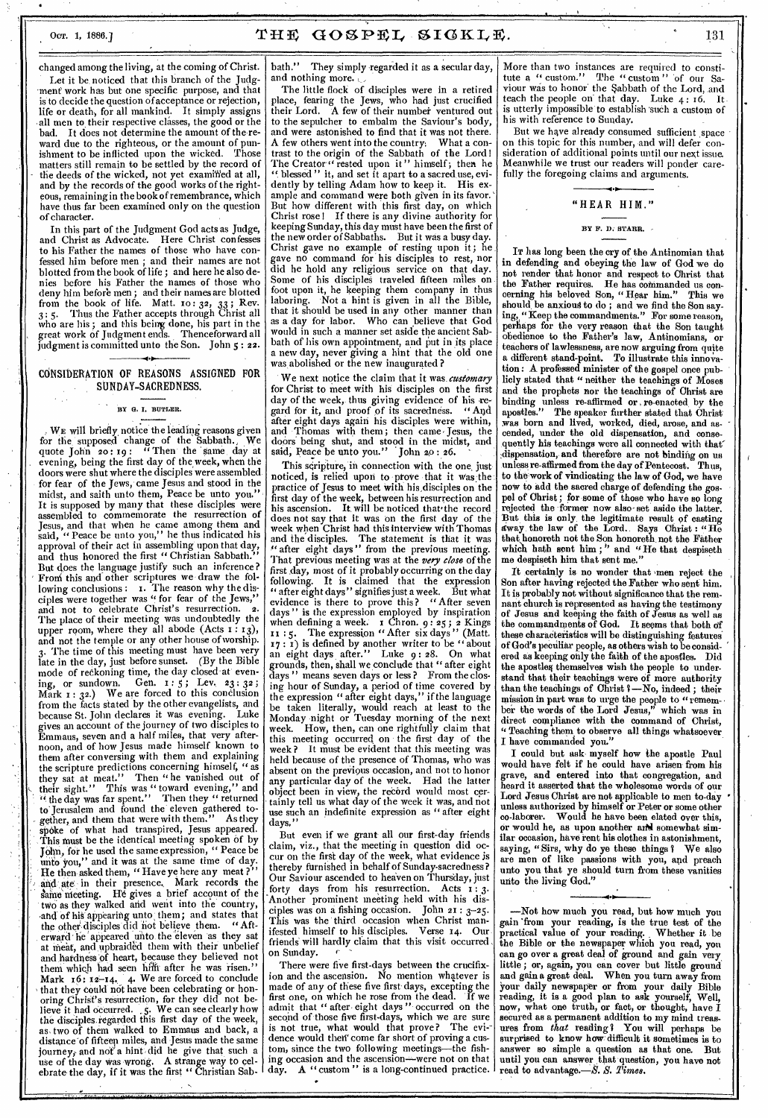changed among the living, at the coming of Christ. Let it be noticed that this branch of the Judgment work has but one specific purpose, and that is to decide the question of acceptance or rejection, life or death, for all mankind. It simply assigns • all men to their respective classes, the good or the bad. It does not determine the amount of the-reward due to the righteous, or the amount of pun-<br>ishment to be inflicted upon the wicked. Those ishment to be inflicted upon the wicked. matters still remain to be settled by the record of the deeds of the wicked, not yet examined at all, and by the records of the good works of the righteous, remaining in the book of remembrance, which have thus far been examined only on the question of character.

In this part of the Judgment God acts as Judge, and Christ as Advocate. Here Christ confesses to his Father the names of those who have confessed him before men ; and their names are not blotted from the book of life ; and here he also denies before his Father the names of those who deny him before men ; and their names are blotted from the book of life. Matt.  $10:32$ ,  $33$ ; Rev. 3 : 5. Thus the Father accepts through Christ all who are his ; and this being done, his part in the great work of Judgment ends. Thenceforward all judgment is committed unto the Son. John 5 : **22.** 

**4 Ir**  CONSIDERATION OF REASONS ASSIGNED FOR SUNDAY-SACREDNESS.

#### **BY G. I. BUTLER.**

WE will briefly, notice the leading reasons given for the supposed change of the Sabbath., We quote John 20: 19: " Then the same day at evening, being the first day of the week, when the doors were shut where the disciples were assembled for fear of the Jews, came Jesus and stood in the midst, and saith unto them, Peace be unto you." It is supposed by many that these disciples were assembled to commemorate the resurrection of Jesus, and that when he came among them and said, "Peace be unto you," he thus indicated his approval of their act in assembling upon that day, and thus honored the first " Christian Sabbath. But does the language justify such an inference? Froni this and other scriptures we draw the following conclusions: I. The reason why the disciples were together was " for fear of the Jews," and not to celebrate Christ's resurrection. 2. The place of their meeting was undoubtedly the upper room, where they all abode  $(Acts_1:13),$ and not the temple or any other house of worship. The time of this meeting must have been very late in the day, just before sunset. (By the Bible mode of reckoning time, the day closed at evening, or sundown. Gen. 1:5; Lev. 23:32;  $M_1^{\sigma'}$   $x : 3^2$ .) We are forced to this conclusion from the facts stated by the other evangelists, and because St. John declares it was evening. Luke gives an account of the journey of two disciples to Emmaus, seven and a half miles, that very afternoon, and of how Jesus made himself known to them after conversing with them and explaining the scripture predictions concerning himself, " as they sat at meat." Then "he vanished out of their sight." This was "toward evening," and "• the day was far spent." Then they " returned to. Jerusalem and found the' eleven gathered to- - gether, and them that were with them." As they spoke of what had transpired, Jesus appeared. .This must be the identical meeting spoken of by John, for he used the same expression, " Peace be unto you," and it was at the same time of day. He then asked them, " Have ye here any meat ? and ate in their presence. Mark records the<br>same meeting. He gives a brief account of the He gives a brief account of the two as they walked and went into the country, and of his appearing unto them; and states that the other, disciples did not believe them. "Aft erward he appeared unto the eleven as they sat at meat, and upbraided them with their unbelief and hardness of heart, because they believed not them which had seen hilft after he was risen. Mark  $16: 12-14$ , 4. We are forced to conclude that they could not have been celebrating or honoring Christ's resurrection, for they did not be-<br>lieve it had occurred. 5. We can see clearly how lieve it had occurred.  $\zeta$ . We can see clearly how the disciples.regarded this first day of the week, as, two of them walked to Emmaus and back, a distance of fifteen miles, and Jesus made the same journey, and not a hint did he give that such a use of the day Was wrong. A strange way to celebrate the day, if it was the first " Christian Sab-

bath." They simply regarded it as a secular day, and nothing more.

The little flock of disciples were in a retired place, fearing the Jews, who had just crucified<br>their Lord. A few of their number ventured out A few of their number ventured out to the sepulcher to embalm the Saviour's body, and were astonished to find that it was not there. A few others went into the country; What a contrast to the origin of the Sabbath of the Lord ! The Creator " rested upon it" himself; then he When  $\mathbf{B}^{(i)}$  blessed" it, and set it apart to a sacred use, evidently by telling Adam how to keep it. His exdently by telling Adam how to keep it. ample and command were both given in its favor. But how different with this first day, on which Christ rose! If there is any divine-authority for keeping Sunday, this day must have been the first of the new order of Sabbaths. But it was a busy day. Christ gave no example of resting upon it; he gave no command for his disciples to rest, nor did he hold any religious service on that day. Some of his disciples traveled fifteen miles on foot upon it, he keeping them company in thus laboring. Not a hint is given in all the Bible, that it should be used in any other manner than as a day for labor. Who can believe that God would in such a manner set aside the ancient Sabbath of his own appointment, and put in its place a new day, never giving a hint that the old one was, abolished or the new inaugurated ?

We next notice the claim that it was *customary*  for Christ to meet with his disciples on the first day of the week, thus giving evidence of his regard for it, and proof of its sacredness. " And after eight days again his disciples Were within, and Thomas with them; then came. Jesus, the doors being shut, and stood in the midst, and said, Peace be unto you." John 20:26.

This scripture, in connection with the one just noticed, is relied upon to prove that it was the practice of Jesus to meet with his,disciples on the first day of the week, between his resurrection and<br>his ascension. It will be noticed that the record It, will be noticed that the record does not say that it was on the first day of the week when Christ had this interview with Thomas and the disciples. The statement is that it was " after eight days" from the previous meeting. That previous meeting was at the *very close* of the first day, most of it probably occurring on the day following. It is claimed that the expression " after eight days" signifies just a week. But what evidence is there to prove this? "After seven days" is the expression employed by inspiration when defining a week. I Chron. 9 : 25 ; **2** Kings : 5. The expression " After six days " (Matt.  $17 : 1$ ) is defined by another writer to be "about an eight days after." Luke 9 : 28. On what grounds, then, shall we conclude that " after eight days " means seven days or less ? From the closing hour of Sunday, a period of time covered by the expression " after eight days," if the language be taken literally, would reach at least to the Monday night or Tuesday morning of the next week. How, then, can one rightfully claim that this meeting occurred on the first day of the week ? It must be evident that this meeting was held because of the presence of Thomas, who was absent on the previous occasion, and not to honor any particular day of the week. Had the latter object been in view, the record would most certainly tell us what day of the week it was, and not use such an indefinite expression as " after eight days,"

But even if we grant all our first-day friends claim, viz., that the meeting in question did occur on the first day of the week, what evidence is thereby furnished in behalf of Sunday-sacredness? Our Saviour ascended to heaven on Thursday, just forty days from his resurrection. Acts 1: 3. Another prominent meeting held with his disciples was on a fishing occasion. John **21 :** 3-25. This was the third occasion when Christ manifested himself to his disciples. Verse 14. Our friends will hardly claim that this visit occurred on Sunday.<br>There were five first-days between the crucifix-

There were five first-days between the crucifixion and the ascension. No mention whatever is made of any of these five first days, excepting the first one, on which he rose from the dead. If we admit that " after eight days " occurred on the second of those five first-days, which we are sure is not true, what would that prove? The evidence would then' come far short of proving a custom, since the two following meetings—the fishing occasion and the ascension—were not on that day. A " custom" is a long-continued practice. More than two instances are required to constitute a "custom." The "custom" of our Satute a " custom." The " custom" of our Saviour was to honor' the Sabbath of the Lord, and teach the people on that day. Luke  $4:16$ . It is utterly impossible to establish such a custom of his with reference to Sunday.

But we have already consumed sufficient space on this topic for this number, and will defer consideration of additional points until our next issue. Meanwhile we trust our readers will ponder carefully the foregoing claims and arguments.

## "HEAR HIM."

**BY F. D. STARR.** 

IT has long been the cry of the Antinomian that in defending and obeying the law of God we do not render that honor and respect to Christ that the Father requires. He has commanded us concerning his beloved Son, " Hear him." This we should, be anxious to do ; and we find the Son saying, "Keep the commandments." For some reason, perhaps for the very reason that the Son taught obedience to the Father's law, Antinomians, or teachers of lawlessness, are now arguing from quite a different stand-point. To illustrate this innovation : A professed minister of the gospel once publicly stated that " neither the teachings of Moses and the prophets nor the teachings of Christ are binding unless re-affirmed or , re-enacted, by the apostles." The speaker further stated that Christ **was** born and lived, worked, died, arose, and ascended, under the old dispensation, and comequently his teachings were all connected with that' dispensation, and therefore are not binding on us unless re-affirmed from the day of Pentecost. Thus, to the work of vindicating the law of God, we have now to add the sacred charge of defending the gospel of Christ; for some of those who have so long rejected the former now also• set aside the latter. But this is only, the legitimate result of casting away the law of the Lord. Says Christ : " $\text{H}_{\text{e}}^{\text{o}}$ that honoreth not the Son honoreth, not the Father which hath sent him;" and "He that despiseth me despiseth him that sent me."

It certainly is no wonder that 'men reject the Son after having rejected the Father who sent him. It is probably not without significance that the remnant church is represented as having the testimony of Jesus and keeping the faith of Jesus as well as the commandments of God. It seems that both of these characteristics will be distinguishing featuresof God's peculiar people, as others wish to be considered as keeping only the faith of the apostles. Did the apostles themselves wish the people to understand that their teachings were of more authority than the teachings of Christ I—No, indeed ; their mission in part was to urge the people to "remember the words of the Lord Jesus," which was in direct compliance with the command of Christ, Teaching them to observe all things whatsoever I have commanded you."

I could but ask myself how the apostle Paul would have felt if he could have arisen from his grave, and entered into that congregation, and heard it asserted that the wholesome words of our Lord Jesus Christ are not applicable to men to-day ' unless authorized by himself or Peter or some other co-laborer. Would he have been elated over this, or would he, as upon another and somewhat similar occasion, have rent his clothes in astonishment, saying, "Sirs, why do ye these things? We also are men of like passions with you, and preach unto you that ye should turn from these vanities unto the living God."

—Not how much you read, but how much you gain 'from your reading, is the true test of the practical value of your reading. Whether it be the Bible or the newspaper which you read, you can go over a great deal of ground and gain very little ; or, again, you can cover but little ground and gain a great deal. When you turn away from Your daily newspaper or from your daily Bible reading, it is a good plan to ask yourself; Well, now, what one truth, or faot, or thought, have I secured as a permanent addition to my mind treasures from *that* reading I You will perhaps be surprised to know how difficult it sometimes is to answer so simple a question as that one, But until you can answer that question, you have not read to advantage.—S. *S. Times.*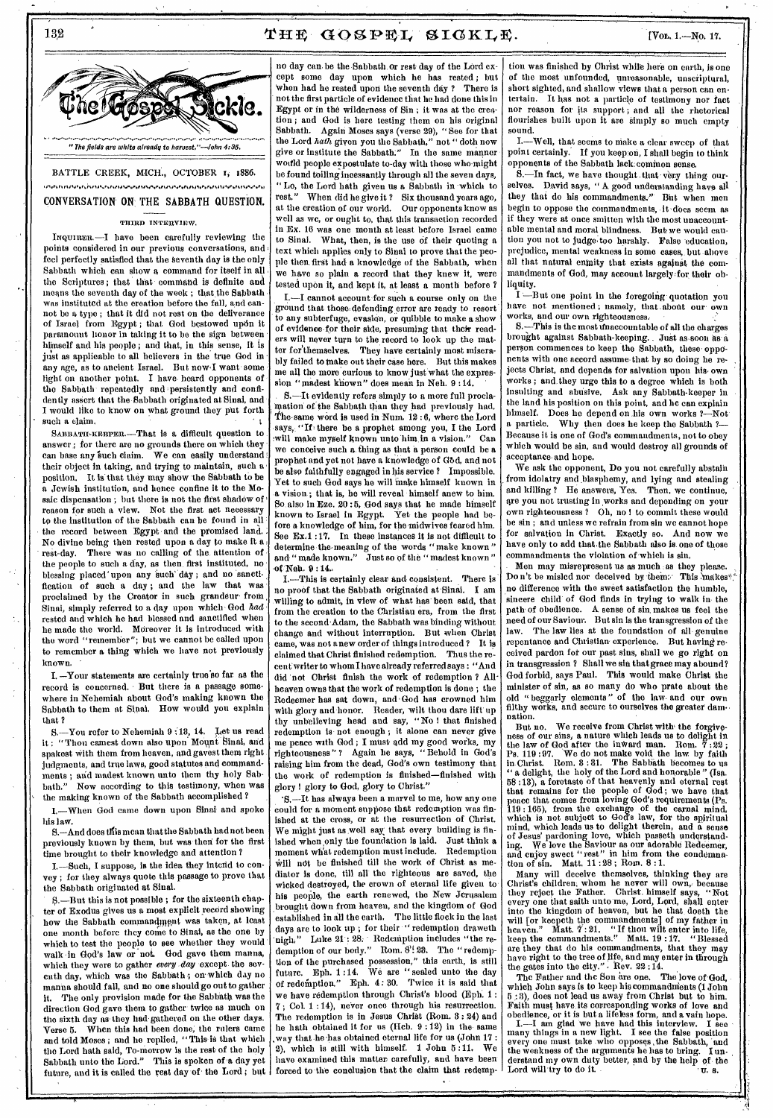### THE GOSPEL SIGKLE.



132

BATTLE CREEK, MICH., OCTOBER 1, 1886. .<br>ทีมทันสันสนัสสินทันสันสินคนสนมทันสันสมุทิศที่พลินสินคนสนมทันที่แสนสนสันสินคนสนมทันสันสินคนสนุทิศที่ แสนมคนสมุท CONVERSATION ON THE SABBATH QUESTION.

#### THIRD INTERVIEW.

INQUIRER. -- I have been carefully reviewing the points considered in our previous conversations, and feel perfectly satisfied that the seventh day is the only Sabbath which can show a command for itself in all the Scriptures; that that command is definite and means the seventh day of the week; that the Sabbath was instituted at the ereation before the fall, and cannot be a type; that it did not rest on the deliverance of Israel from Egypt; that God bestowed upon it paramount honor in taking it to be the sign between himself and his people; and that, in this sense, it is just as applicable to all believers in the true God in any age, as to ancient Israel. But now I want some light on another point. I have heard opponents of the Sabbath repeatedly and persistently and confidently assert that the Sabbath originated at Sinai, and I would like to know on what ground they put forth such a claim.

SABBATH-KEEPER.-That is a difficult question to answer; for there are no grounds there on which they can base any such claim. We can easily understand their object in taking, and trying to maintain, such a It is that they may show the Sabbath to be nosition. a Jewish institution, and hence confine it to the Mosaic dispensation; but there is not the first shadow of reason for such a view. Not the first act necessary to the institution of the Sabbath can be found in all the record between Egypt and the promised land.<br>No divine being then rested upon a day to make it a There was no calling of the attention of rest day. the people to such a day, as then first instituted, no blessing placed upon any such day; and no sanctification of such a day; and the law that was proclaimed by the Creator in such grandeur from Sinai, simply referred to a day upon which God had rested and which he had blessed and sanctified when he made the world. Moreover it is introduced with the word "remember"; but we cannot be called upon to remember a thing which we have not previously known.

I. -Your statements are certainly true'so far as the record is concerned. But there is a passage somewhere in Nehemiah about God's making known the Sabbath to them at Sinai. How would you explain that?

S.-You refer to Nehemiah 9:13, 14. Let us read it: "Thou camest down also upon Mount Sinai, and spakest with them from heaven, and gavest them right judgments, and true laws, good statutes and commandments; and madest known unto them thy holy Sab-Now according to this testimony, when was bath." the making known of the Sabbath accomplished?

I.-When God came down upon Sinai and spoke his law.

S.-And does this mean that the Sabbath had not been previously known by them, but was then for the first time brought to their knowledge and attention?

I.-Such, I suppose, is the idea they intend to convey; for they always quote this passage to prove that the Sabbath originated at Sinai.

S. - But this is not possible; for the sixteenth chapter of Exodus gives us a most explicit record showing how the Sabbath commandment was taken, at least one month before they come to Sinai, as the one by which to test the people to see whether they would walk in God's law or not. God gave them manna, which they were to gather every day except the sevcuth day, which was the Sabbath; on which day no manna should fall, and no one should go out to gather it. The only provision made for the Sabbath was the direction God gave them to gather twice as much on the sixth day as they had gathered on the other days. When this had been done, the rulers came Verse 5. and told Moses; and he replied, "This is that which the Lord hath said, To-morrow is the rest of the holy Sabbath unto the Lord." This is spoken of a day yet future, and it is called the rest day of the Lord; but

no day can be the Sabbath or rest day of the Lord except some day upon which he has rested; but when had he rested upon the seventh day ? There is not the first particle of evidence that he had done this in Egypt or in the wilderness of Sin; it was at the creation; and God is herc testing them on his original Sabbath. Again Moscs says (verse 29), "See for that the Lord hath given you the Sabbath," not "doth now give or institute the Sabbath." In the same manner would people expostulate to-day with those who might be found toiling incessantly through all the seven days, "Lo, the Lord hath given us a Sabbath in which to rest." When did he give it ? Six thousand years ago, at the creation of our world. Our opponents know as well as we, or ought to, that this transaction recorded in Ex. 16 was one month at least before Israel came to Sinal. What, then, is the use of their quoting a text which applies only to Sinai to prove that the people then first had a knowledge of the Sabbath, when we have so plain a record that they knew it, were tested upon it, and kept it, at least a month before ?

I. -- I cannot account for such a course only on the ground that those defending error are ready to resort to any subterfuge, evasion, or quibble to make a show of evidence for their side, presuming that their readers will never turn to the record to look up the matter for themselves. They have certainly most miserably failed to make out their case here. But this makes me all the more curious to know just what the expression "madest known" does mean in Neh. 9:14.

S.-It evidently refers simply to a more full proclamation of the Sabbath than they had previously had. The same word is used in Num. 12:6, where the Lord says, "If there be a prophet among you, I the Lord<br>will make myself known unto him in a vision." Can we conceive such a thing as that a person could be a prophet and yet not have a knowledge of God, and not be also faithfully engaged in his service? Impossible. Yet to such God says he will make himself known in a vision: that is, he will reveal himself anew to him. So also in Eze. 20:5, God says that he made himself known to Israel in Egypt. Yet the people had before a knowledge of him, for the midwives feared him. See Ex.1:17. In these instances it is not difficult to determine the meaning of the words "make known"<br>and "made known." Just so of the "madest known" of Neh. 9:14.

I.—This is certainly clear and consistent. There is no proof that the Sabbath originated at Sinai. I am willing to admit, in view of what has been said, that from the creation to the Christiau era, from the first to the second Adam, the Sabbath was binding without change and without interruption. But when Christ came, was not a new order of things introduced? It is claimed that Christ finished redemption. Thus the recent writer to whom I have already referred says : "And did not Ohrist finish the work of redemption? All heaven owns that the work of redemption is done; the Redeemer has sat down, and God has crowned him with glory and honor. Reader, wilt thou dare lift up<br>thy unbelieving head and say, "No! that finished redemption is not enough; it alone can never give me peace with God; I must add my good works, my<br>righteousness"? Again he says, "Behold in God's raising him from the dead, God's own testimony that the work of redemption is finished-finished with glory ! glory to God, glory to Christ."

'S.-It has always been a marvel to me, how any one could for a moment suppose that redemption was finished at the cross, or at the resurrection of Christ. We might just as well say that every building is finished when only the foundation is laid. Just think a moment what redemption must include. Redemption will not be finished till the work of Christ as medintor is done, till all the righteous are saved, the wicked destroyed, the crown of eternal life given to his people, the earth renewed, the New Jcrusalem brought down from heaven, and the kingdom of God established in all the earth. The little flock in the last days are to look up; for their "redemption draweth nigh," Luke 21:28. Redcnption includes "the re-<br>demption of our body." Rom. 8':28. The "redemption of the purchased possession," this earth, is still future. Eph. 1:14. We are "sealed unto the day<br>of redemption." Eph. 4:30. Twice it is said that we have redemption through Christ's blood (Eph. 1: 7; Col. 1:14), never once through his resurrection. The redemption is in Jesus Christ (Rom. 3: 24) and he hath obtained it for us (Hcb. 9:12) in the same way that he has obtained eternal life for us (John 17: 2), which is still with himself. 1 John 5:11. We have examined this matter carefully, and have been forced to the conclusion that the claim that redemp-

tion was finished by Christ while here on earth, is one of the most unfounded, unreasonable, unscriptural, short sighted, and shallow views that a person can entertain. It has not a particle of testimony nor fact nor reason for its support; and all the rhetorical flourishes built upon it are simply so much empty sound.

I.--- Well, that seems to make a clear sweep of that point certainly. If you keep on, I shall begin to think opponents of the Sabbath lack common sense.

S.-In fact, we have thought that very thing ourselves. David says, "A good understanding have all they that do his commandments." But when men begin to oppose the commandments, it does seem as if they were at once smitten with the most unaccountable mental and moral blindness. But we would caution you not to judge too harshly. False education, prejudice, mental weakness in some cases, but above all that natural enmity that exists against the commandments of God, may account largely for their obliquity.

I-But one point in the foregoing quotation you have not mentioned; namely, that about our own works, and our own righteousness.<br>S.—This is the most tinaccountable of all the charges

brought against Sabbath-keeping. Just as soon as a person commences to keep the Sabbath, these opponents with one accord assume that by so doing he rejects Christ, and depends for salvation upon his own works; and they urge this to a degree which is both insulting and abusive. Ask any Sabbath-keeper in the land his position on this point, and he can explain himself. Does he depend on his own works ?- $\mathbf{-Not}$ a particle. Why then does he keep the Sabbath ?-Because it is one of God's commandments, not to obey which would be sin, and would destroy all grounds of acceptance and hope.

We ask the opponent, Do you not carefully abstain from idolatry and blasphemy, and lying and stealing and killing? He answers, Yes. Then, we continue, are you not trusting in works and depending on your own righteousness? Oh. no! to commit these would be sin; and unless we refrain from sin we cannot hope for salvation in Christ. Exactly so. And now we have only to add that the Sabbath also is one of those commandments the violation of which is sin.

Men may misrepresent us as much as they please. Don't be misled nor deceived by them. This makes" no difference with the sweet satisfaction the humble, sincere child of God finds in trying to walk in the path of obedience. A sense of sin makes us feel the<br>need of our Saviour. But sin is the transgression of the The law lies at the foundation of all genuine law. repentance and Christian experience. But having received pardon for our past sins, shall we go right on in transgression ? Shall we sin that grace may abound? God forbid, says Paul. This would make Christ the minister of sin, as so many do who prate about the old "beggarly elements" of the law and our own filthy works, and secure to ourselves the greater damnation.

We receive from Christ with the forgive But no. ness of our sins, a nature which leads us to delight in<br>the law of God after the inward man. Rom. 7:22;<br>Ps. 119:97. We do not make yoid the law by faith Ps. 119:97. We do not make void the law by<br>in Christ. Rom. 3:31. The Sabbath becomes<br>"a delight, the holy of the Lord and honorable" (Isa. 58:13), a foretaste of that heavenly and eternal rest task.<br>58:13), a foretaste of that heavenly and eternal rest tat<br>peace that remains for the people of God; we have that<br>peace that comes from loving God's requirements ( which which leads us to delight therein, and a sense<br>of Jesus' pardoning love, which passeth understand-<br>ing. We love the Saviour as our adorable Redeemer,<br>and cnjoy sweet "rest" in him from the condemnation of sin. Matt. 11:28; Rom. 8:1.

Many will deceive themselves, thinking they are<br>Christ's children, whom he never will own, because<br>they reject the Father. Christ himself says, "Not every one that saith unto me, Lord, Lord, shall enter<br>into the kingdom of heaven, but he that doeth the into the kingdom or neaven, but he that doeth the<br>will [or keepch the commandments] of my father in<br>heaven." Matt.  $T:21$ , "If thou wilt enter into life,<br>keep the commandments." Matt. 19:17. "Blessed<br>are they that do his

The Father and the Son are one. The love of God, which John says is to keep his commandments (1 John 5  $: 3$ ), does not lead us away from Christ but to him. Faith must have its corresponding works of love and<br>obedience, or it is but a lifeless form, and a vain hope.

L.--I am glad we have had this interview. I see<br>many things in a new light. I see the false position example in a new night. I see the raise position<br>every one must take who opposes the Sabbath, and<br>the weakness of the arguments he has to bring. I un-<br>derstand my own duty better, and by the help of the<br>Lord will try to do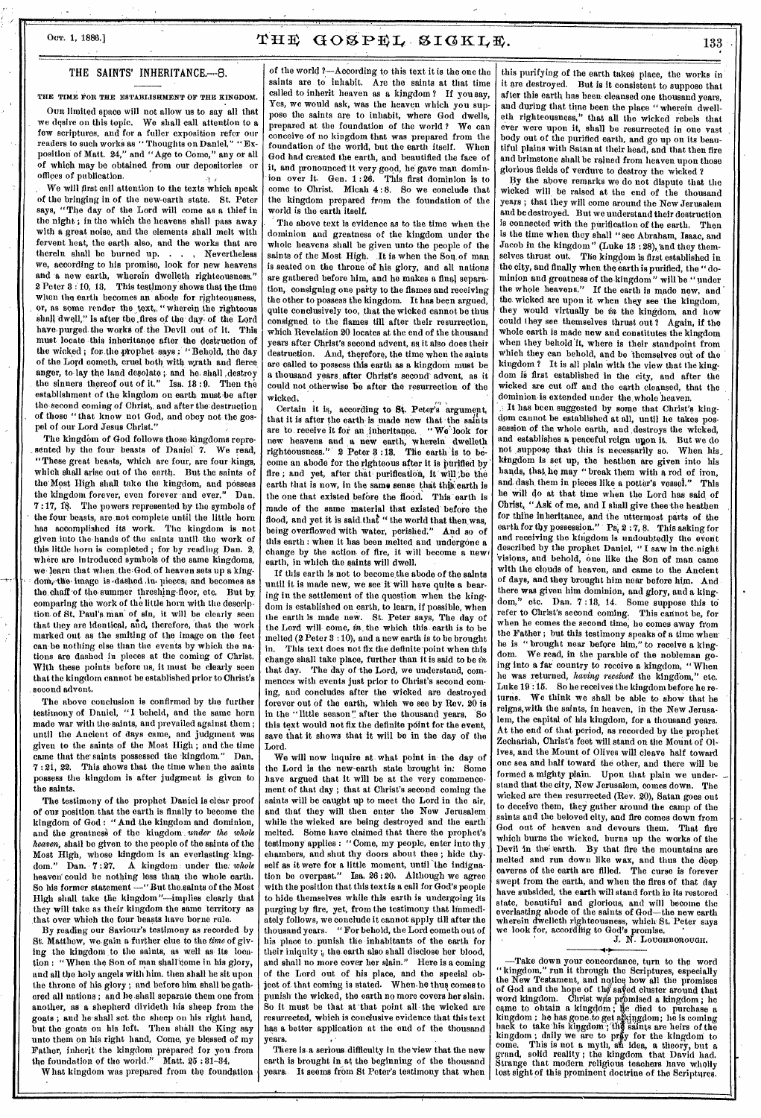# Oor. 1, 1886.]  $T \times G O S P E I$ ,  $S I G K I E$ ,  $1.1886$ .

### THE SAINTS' INHERITANCE.-8.

THE TIME FOR THE ESTABLISHMENT OF THE KINGDOM.

Oyu limited space will not allow us to say all that we desire on this topic. We shall call attention to a few scriptures, and for a fuller exposition refer our readers to such works as " Thoughts on Daniel," " Exposition of Matt. 24," and "Age to Come," any or all of which may be obtained from our depositories or offices of publication.

We will first call attention to the texts which speak of the bringing in of the new-earth state. St. Peter says, "The day of the Lord will come as a thief in the night ; in the which the heavens shall pass away with a great noise, and the elements shall melt with fervent heat, the earth- also, and the works that are therein shall be burned up. . . . Nevertheless therein shall be burned up. . . we, according to his promise, look for pew heavens and a new earth, wherein dwelleth righteousness." 2 Peter 3:10, 18, This testimony shows that the time when the earth becomes an abode for righteousness, or, as some render the text, "wherein the righteous Shall dwell," is after the ,fires of the: day; of the Lord have; purged; the works of the Devil out of it, This must locate this inheritance after the destruction of the wicked ; for the prophet says ; "Behold, the day of the Lord cometh, cruel both with wrath and fierce anger, to lay the land desolate ; and he shall , destroy the sinners thereof out of it." Isa. 18 :9, Then the establishment of the kingdom on earth must be after the second coming of Christ, and after the destruction of those "that know not God, and obey not the gospel of our Lord Jesus Christ."

The kingdom of God follows those kingdoms represented by the four beasts of Daniel 7. We read, "These great beasts, which are four, are four kings, which shall arise out of the earth. But the saints of the Most High shall take the kingdom, and possess<br>the kingdom forever, even forever and ever." Dan the kingdom forever, even forever and ever." 7:17, 18. The powers represented by the symbols of the four beasts, are not complete until the little horn has accomplished its work. The kingdom is not given into the-hands of the saints until the work of this little horn is completed ; for by reading Dan, 2, where are introduced symbols of the same kingdoms, we-learn that when the God of heaven sets up a kingdom, the image is dashed in pieces, and becomes as the chaff of the summer threshing-floor, etc. But by comparing the work of the little horn with the description of St. Paul's man' of sin, it will be clearly seen that they are identical, aid, therefore, that the work marked out as the smiting of the image on the feet can-be nothing else than the events by which the nations are dashed in pieces at the coming of Christ. With these points before us, it must be clearly seen that the kingdom cannot be established prior to Christ's .second advent.

The above conclusion is confirmed by the further testimony of Daniel, "I beheld, and the same horn made war with the saints, and prevailed against them; until the Ancient of days came, and judgment was given to the saints of the Most High ; end the time caine that the' saints possessed the -kingdom," Dan. 7 : 21, 22. This shows that the time when the saints possess the kingdom is after judgment is given to the saints.

The testimony of the prophet Daniel is clear proof of our position-that the earth is finally to become the kingdom of God : " And the kingdom and dominion, and the greatness of the kingdom *under the whole heaven,* shall be given to the people of the saints of the Most High, whose kingdom is an everlasting king-<br>dom." Dan. 7:27. A kingdom under the whole  $\Lambda$  kingdom: under the: *whole* heaven could be nothing less than the whole earth. So his former statement —"Rut the.saints of the Most Iligh shall take the kingdom "—implies clearly that they will take as their kingdom the same territory as that over which the four beasts have borne rule.

By reading our Saviour's testimony as recorded by St. Matthew, we gain a further clue to the time of giving the kingdom. to the saints, as well as- its location : "When the Son of man shall come in his glory, and all the holy angels with him, then shall he sit upon the throne of his glory; and before him shall be gathered all nations ; and he shall separate them one from another, as a shepherd divideth his sheep from the goats ; and he-shall set the sheep on his right hand, but the goats on his left. Then shall the King say unto them on his right hand, Come, ye blessed of my Father, inherit the kingdom prepared for you from the foundation of the world." Matt. 25 : 81-34,

What kingdom was prepared from the foundation

of the world ?--According to this text it is the one the saints are to inhabit. Are the saints at that time called to inherit heaven as a kingdom ? If you say, Yes, we would ask, was the heaven which you suppose the saints are to inhabit, where God dwells, prepared at the foundation of the world ? We can conceive of no kingdom that was prepared from the foundation of the world, but the earth itself. When God had created the earth, and beautified the face of it, and pronounced it very good, he gave man domin-<br>ion over it. Gen. 1:26. This first dominion is to ion over it. Gen.  $1:26$ . come to Christ. Micah 4 : 8. So we conclude that the kingdom prepared from the foundation of the world is the earth itself.

The above text is evidence as to the time when the dominion and greatness of the kingdom under the whole heavens shall be given unto the people of the saints of the Most High. It is when the Son of man is seated on the throne of his glory, and all nations are gathered before him, and he makes a final separation, consigning one paity to the flames and receiving the other to possess the kingdom. It has been argued, quite conclusively too, that the wicked cannot be thus consigned to the flames till after their resurrection, which Revelation 20 locates at the end of the thousand years after Christ's second advent, ay it also does their destruction. And, therefore, the time when the saints are called to possess this earth as a kingdom must be a thousand years, after Christ's second' advent, as it could not otherwise be after the resurrection of the wicked,  $\mathcal{L}^2$  ,  $\mathcal{L}^2$  ,  $\mathcal{L}^2$  ,  $\mathcal{L}^2$  ,  $\mathcal{L}^2$  ,  $\mathcal{L}^2$  ,  $\mathcal{L}^2$  ,  $\mathcal{L}^2$  ,  $\mathcal{L}^2$  ,  $\mathcal{L}^2$  ,  $\mathcal{L}^2$  ,  $\mathcal{L}^2$  ,  $\mathcal{L}^2$  ,  $\mathcal{L}^2$  ,  $\mathcal{L}^2$  ,  $\mathcal{L}^2$  ,  $\mathcal{$ 

Certain it is, according to St. Peter's argumept, that it is after the earth is made new that the saints are to receive it for an inherltanee. " We' look for new heavens and a new earth, wherein dwelleth righteousness." 2 Peter 8 :18. Tile earth is to become an abode for the righteous after it is purified by fire ; and yet, after that purification, it will be the earth that is now, in the same sense that this earth is the one that existed before the flood. This earth is made of the same material that existed before the flood, and yet it is said that " the world that then was, being overflowed with water, perished." And so of this earth : when it has been melted and undergone a change by the action of fire, it will become a new earth, in which the saints will dwell.

If this earth is not to become the abode of the saints until it is made new, we see it will have quite a bearing in the settlement of the question when the kingdom is established on earth, to learn, if possible, when the earth is made new. St. Peter says, The day of the Lord will come, *in-* the which this earth is to be melted (2 Peter 3 : 10), and a new earth is to be brought This text does not fix the definite point when this change shall take place, further than it is said to be  $in$ that day. The day of the Lord, we understand, commences with events just prior to Christ's second coming, and concludes after the wicked are destroyed forever out of the earth, which we see by Rev. 20 is in the " little season" after the thousand years, So this text would not fix the definite point for the event. save that it shows that it will be in the day of the Lord.

We will now inquire at what point in the day of the Lord is the new-earth state brought in: Some have argued that it will be at the very commencement of that day ; that at Christ's second coming the saints will be caught up to meet the Lord in the air, and that they will then enter the New Jerusalem while the wicked are being destroyed and the earth melted. Some have claimed that there the prophet's testimony applies : "Come, my people, enter into thy chambers, and shut thy doors about thee ; hide thyself as it were for a little moment, until the indignation be overpast." Isa. 26 :20. Although we agree with the position that this text is a call for God's people to hide themselves while this earth is undergoing its purging by fire, yet, from the testimony that immediately follows, we conclude it cannot apply till after the thousand years. " For behold, the Lord cometh out of his place to punish the inhabitants of the earth for their iniquity ;, the earth also shall disclose her blood, and shall no more cover her slain." Here is a coming of the Lord out of his place, and the special object of that coming is stated. When he thus comes to punish the wicked, the earth no more covers her slain. So it must be that at that point all the wicked are resurrected, which is conclusive evidence that this text has a better application at the end of the thousand years.

There is a serious difficulty in the view that the new earth is brought in at the beginning of the thousand years. It seems from St Peter's testimony that when this purifying of the earth takes place, the works in it are destroyed. But is it consistent to suppose that after this earth has been cleansed one thousand years, and during that time been the place "wherein dwelleth righteousness," that all the wicked rebels that ever were upon it, shall be resurrected in one vast body out of the purified earth, and go up on its beautiful plains with Satan at their head, and that then fire and brimstone shall be rained from heaven upon those glorious fields of verdure to destroy the wicked ?

By the above remarks we do not dispute that the wicked will be raised at the end of the thousand years ; that they will come around the New Jerusalem and be destroyed. But we understand their destruction is connected with the purification of the earth, Then is the time when they shall "see Abraham, Isaac, and Jacob in the kingdom" (Luke 13 : 28), and they themselves thrust out. The kingdom is first established in the city, and finally when the earth is purified, the " dominion and greatness of the kingdom" will be "under the whole heavens." If the earth is made new, and the whole are upon it when they see the kingdom, they would virtually be *in* the kingdom, and how could they see themselves thrust out ? Again, if the whole earth is made new and constitutes the kingdom when they behold'it, where is their standpoint from which they can behold, and be themselves out of the kingdom ? It is all plain with the view that the kingdom is first established in the city, and after the wicked are cut off and the earth cleansed, that the dominion is extended under the whole heaven.

It has been suggested by some that Christ's kingdom cannot be established at all, until he takes possession of the whole earth, and destroys the wicked, and establishes a peaceful reign upon it. But we do not suppose that this is necessarily so. When his not suppose that this is necessarily so. kingdom is set up, the heathen are given into his hands, that, he may " break them with a rod of iron, and dash them in pieces like a potter's vessel." This he will do at that time when the Lord has said of Christ, "Ask of me, and I shall give thee the heathen for thine inheritance, and the uttermost parts of the earth for thy possession." Ps, 2:7, 8. This asking for and receiving the kingdom is undoubtedly the event described by the prophet Daniel, " I saw in the night 'visions, and behold, one like the Son of man came with the clouds of heaven, and came to the Ancient of days, and they brought him near before him. And there was given him dominion, and glory, and a kingdom," etc. Dan. 7 :18, 14. Some suppose this to refer to Christ's second coming. This cannot be, for when he comes the second time, he comes away from the Father ; but this testimony speaks of a time when' he is " brought near before him," to receive a kingdom. We read, in the parable of the nobleman going into a far country to receive a kingdom, " When lie was returned, *having received* the kingdom," etc. Luke 19 : 15. So he receives the kingdom before he returns. We think we shall be able to show that he reigns,with the saints, in heaven, in the New Jerusalem, the capital of his kingdom, for a thousand years. At the end of that period, as recorded by the prophet Zechariah, Christ's feet will stand on the Mount of Olives, and the Mount of Olives will cleave half toward one sea and half toward the other, and there will be formed a mighty plain. Upon that plain we understand that the city, New Jerusalem, comes down. The wicked are then resurrected (Rev. 20), Satan goes out to deceive them, they gather around the camp of the saints and the beloved city, and fire comes down from God out of heaven and devours them. That fire which burns the wicked, burns up the works of the Devil in the earth. By that fire the mountains are melted and run down like wax, and thug the deep caverns of the earth are filled. The curse is forever swept from the earth, and when the fires of that day have subsided, the earth will stand forth in its restored state, beautiful and glorious, and will become the everlasting abode of the saints of God—the new earth wherein dwelleth righteousness, which St. Peter says we look for, according to God's promise, •

J. N. LOUGHBOROUGH.

—Take down your concordance, tarn to the word "kingdom," run it through the Scriptures, especially the New Testament, and notice how all the promises of God and the hope of the' sated cluster around that word kingdom. Christ wis promised a kingdom ; he<br>came to obtain a kingdom ; lie died to purchase a<br>kingdom ; he has gone to get alkingdom ; he is coming<br>hack to take his kingdom ; the saints are heirs of the kingdom; daily we are to pray for the kingdom to come. This is not a myth, an idea, a theory, but a grand, solid reality ; the kingdom that David had. Strange that modern religious teachers have wholly lost sight of this prominent doctrine of the Scriptures.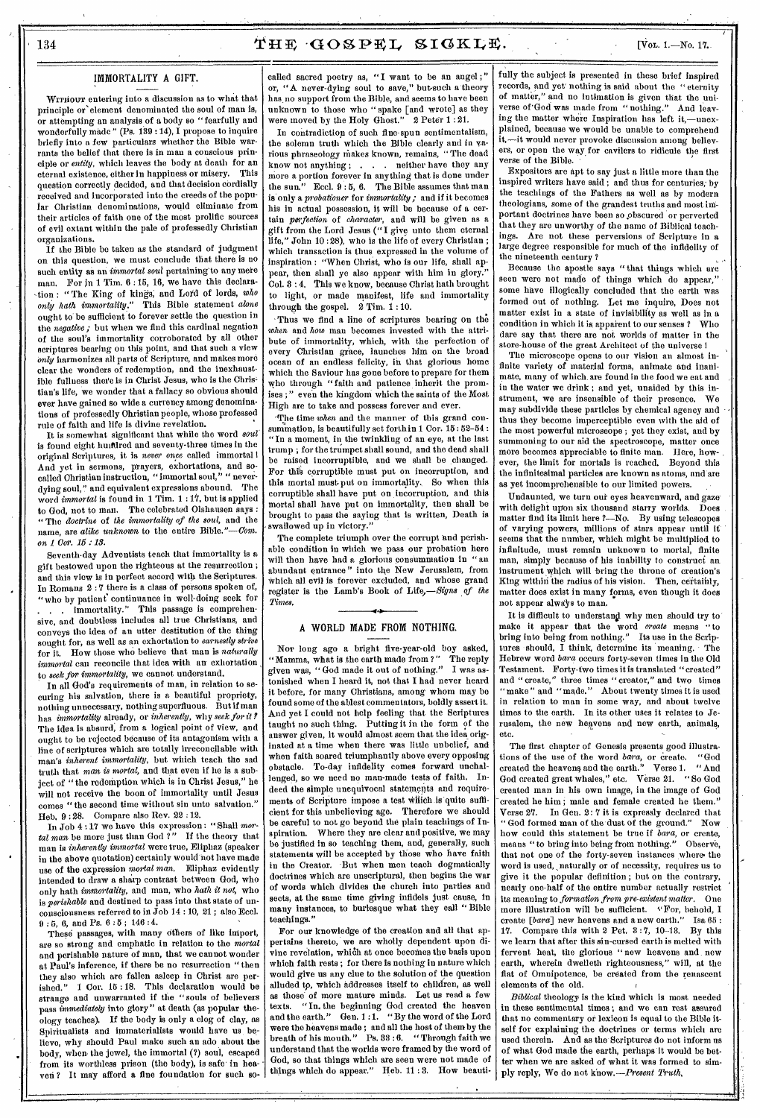### IMMORTALITY A GIFT.

WITHOUT entering into a discussion as to what that principle or' element denominated the soul of man is, or attempting an analysis of a body so "fearfully and wonderfully made" (Ps. 199 :14), I propose to inquire briefly into a few particulars whether the Bible warrants the belief that there is in man a conscious principle or *entity*, which leaves the body at death for an attenual existence either in hanniness or misery. This eternal existence, either in happiness or misery. question correctly decided, and that decision cordially received and incorporated into the creeds of the popular Christian denominations, would eliminate from their articles of faith one of the most prolific sources of evil extant within the pale of professedly Christian organizations.

If the Bible be taken as the standard of judgment on this question, we must conclude that there is no such entity as an *immortal soul* pertaining'to any mere man. For in 1 Tim. 6 :15, 16, we have this declaration "The King of kings; and Lord of lords, *who only hath immortality."* This Bible statement *alone*  ought to be sufficient to forever settle the question in the *negative;* but when we find this cardinal negation of the soul's immortality corroborated by all other scriptures bearing on this point, and that such a view *Only* harmonizes all parts of Scripture, and makes more clear the wonders of redemption, and the inexhaustible fullness there is in Christ Jesus, who is the Christian's life, we wonder that a fallacy so obvious should ever have gained so wide a currency among denominations of professedly Christian people, whose professed rule of faith and life is divine revelation.

It is somewhat significant that while the word *oaut*  is found eight huiftlred and seventy-three times in the original Scriptures, it is *never once* called immortal I And yet in sermons, prayers, exhortations, and socalled Christian instruction, " immortal soul," " neverdying soul," and equivalent expressions abound. The word *immortal* is found in 1 Tim. 1:17, but is applied to God, not to man. The celebrated Olshausen says : " The *doctrine* of *the immortality of the soul,* and the name, are *alike unknown* to the entire Bible."—Com. *on 1 Cor. 15 : 18.* 

Seventh-day Adventists teach that immortality is a gift bestowed upon the righteous at the resurrection ; and this view is in perfect accord with the Scriptures. In Romans 2 :7 there is a class of persons spoken of, "who by patient continuance in well-doing seek for This passage is comprehensive, and doubtless includes all true Christians, and conveys the idea of an utter destitution of the thing sought for, as well as an exhortation to *earnestly strive*  for it. How those who believe that man is *naturally immortal* can reconcile that idea with an exhortation to *seek for immortality,* we cannot understand.

In all God's requirements of man, in relation to securing his salvation, there is a beautiful propriety, nothing unnecessary, nothing superfluous. But if man has *immortality* already, or *inherently,* why *seek for it?*  The idea is absurd, from a logical point of view, and ought to be rejected because of its antagonism with a line of scriptures which are totally irreconcilable with man's *inherent immortality,* but which teach the sad truth that man *is mortal,* and that even if he is a subject of "the redemption which is in Christ Jesus," he will not receive the boon of immortality until Jesus comes "the second time without sin unto salvation." Heb. 9 : 28. Compare also Rev. 22 :12.

In Job 4:17 we have this expression: "Shall mor*tal man* be more just than God ?" If the theory that man is *inherently immortal* were true, Eliphaz (speaker in the above quotation) certainly would'hot have made use of the expression *mortal man,* Eliphaz evidently intended to draw a sharp contrast between God, who only hath *immortality,* and man, who *hath it not,* who is *perishable* and destined to pass into that state of unconsciousness referred to in Job 14 : 10, 21 ; also Eccl. 9 : 5, 6, and Ps. 6 : 5 ; 146 : 4.

These passages, with many others of like import, are so strong and emphatic in relation to the *mortal*  and perishable nature of man, that we cannot wonder at Paul's inference, if there be no resurrection " then they also which are fallen asleep in Christ are perished." 1 Cor. 15 :18. This declaration would be strange and unwarranted if the "souls of believers pass *immediately* into glory " at death (as popular theology teaches). If the body is only a clog of clay, as Spiritualists and immaterialists would have us believe, why should Paul make such an ado about the body, when. the jewel, the immortal (?) soul, escaped from its worthless prison (the body), is safe' in heaven ? It may afford a fine foundation for such so-

called sacred poetry as, "I want to be an angel;" or, "A never-dying soul to save," but-such a theory has no support from the Bible, and seems to have been unknown to those who " spake [and wrote] as they were moved by the Holy Ghost." 2 Peter 1 : 21.

In contradiction of such fine-spun sentimentalism, the solemn truth which the Bible clearly and in various phraseology makes known, remains, "The dead know not anything ; . . . neither have they any more a portion forever in anything that is done under<br>the sun." Eccl. 9:5, 6. The Bible assumes that man Eccl.  $9:5, 6$ . The Bible assumes that man is only a *probationer* for *immortality;* and if it becomes his in actual possession, it will be because of a certain *perfection* of *character,* and will be given as a gift from the Lord Jesus ("I give unto them eternal life," John 10 : 28), who is the life of every Christian ; which transaction is thus expressed in the volume of inspiration : "When Christ, who is our life, shall appear, then shall ye also appear with him in glory. Col. 3 : 4. This we know, because Christ bath brought to light, or made manifest, life and immortality through the gospel.  $2$  Tim.  $1:10$ .

Thus we find a line of scriptures bearing on the *when* and *how* man becomes invested with the attribute of immortality, which, with the perfection of every Christian grace, launches him on the broad ocean of an endless felicity, in that glorious home which the Saviour has gone before to prepare for them who through "faith and patience, inherit the promises ;" even the kingdom which the saints of the Most High are to take and possess forever and ever.

'The time *when* and the manner of this grand consummation, is beautifully set forth in 1 Cor.  $15$  :  $52\text{--}54$ "In a moment, in the twinkling of an eye, at the last trump ; for the trumpet shall sound, and the dead shall be raised incorruptible, and we shall be changed. For this corruptible must put on incorruption, and this mortal must put on immortality.. So when this corruptible shall have put on incorruption, and this mortal shall have put on immortality, then shall be brought to pass the saying that is written, Death is swallowed up in victory."

The complete triumph over the corrupt and perishable condition in which we pass our probation here will then have had a glorious consummation in " an abundant entrance" into the New Jerusalem, from Which all evil is forever excluded, and whose grand register is the Lamb's Book of Life,—Signs *of the Times.* 

#### A WORLD MADE FROM NOTHING.

Nor long ago a bright five-year-old boy asked, "Mamma, what is the earth made from ?" The reply given was, " God made it out of nothing." I was astonished when I heard it, not that I had never heard it before, for many Christians, among whom may be found some of the ablest commentators, boldly assert it. And yet I could not help feeling that the Scriptures taught no such thing. Putting it in the form of the answer given, it would almost seem that the idea originated at a time when there was little unbelief, and when faith soared triumphantly above every opposing obstacle. To-day infidelity comes forward unchallenged, so we need no man-made tests of faith. Indeed the simple unequivocal statements and requirements of Scripture impose a test which is quite sufficient for this unbelieving age. Therefore we should be careful to not go beyond the plain teachings of Inspiration. Where they are clear and positive, we may be justified in so teaching them, and, generally, such statements will be accepted by those who have faith in the Creator. 'But when men teach dogmatically doctrines which are unscriptural, then begins the war of words which divides the church into parties and sects, at the same time giving infidels just cause, in many instances, to burlesque what they call " Bible teachings."

For our knowledge of the creation and all that appertains thereto, we are wholly dependent upon divine revelation, which at once becomes the basis upon which faith rests ; for there is nothing in nature which would give us any clue to the solution of the question alluded tp, which addresses itself to children, as well as those of more mature minds. Let us read a few texts. "In. the beginning God created the heaven and the earth." Gen. 1 :1. "By the word of the Lord were the heavens made ; and all the host of them by the breath of his mouth." Ps. 33:6. "Through faith we  $^{\prime\prime}$  Through faith we understand that the worlds were framed by the word of God, so that things which are seen were not made of things which do appear." Heb. 11:3. How beauti-

fully the subject is presented in these brief inspired records, and yet nothing is said about the "eternity of matter," and no intimation is given that the universe of God was made from "nothing." And leaving the matter where Inspiration has left it,—unexplained, because we would be unable to comprehend it,—it would never provoke discussion among believers, or open the way.for cavilers to ridicule the first verse of the Bible.

Expositors are apt to say just a little more than the inspired writers have said; and thus for centuries, by the teachings of the Fathers as well as by modern theologians, some of the grandest truths and most important doctrines have been so obscured or perverted that they are unworthy of the name of Biblical teachings. Are not these perversions of Scripture in a large degree responsible for much of the infidelity of the nineteenth century ?

Because the apostle says " that things which are seen were not made of things which do appear," some have illogically concluded that the earth was formed out of nothing. Let me inquire, Does not matter exist in a state of invisibility as well as in a condition in which it is. apparent to our senses ? Who dare say that there are not worlds of matter in the store-house of the great Architect of the universe 1

The microscope opens to our vision an almost infinite variety of material forms, animate and inanimate, many of which, are found in the food we eat and in the water we drink ; and yet, unaided by this instrument, we are insensible of their presence. We may subdivide these particles by chemical agency and thus they become imperceptible even with the aid of the most powerful microscope ; yet they exist, and by summoning to our aid the spectroscope, matter once more becomes appreciable to finite man. Here, however, the limit for mortals is reached. Beyond this the infinitesimal particles are known as atoms, and are as yet incomprehensible to our limited powers.

Undaunted, we turn our eyes heavenward, and gaze with delight upon six thousand starry worlds. Does matter find its limit here ?—No. By using telescopes of varying powers, millions of stars appear until it seems that the number, which might be multiplied to infinitude, must remain unknown to mortal, finite man, simply because of his inability to construct an instrument which will bring the throne of creation's King within the radius of his vision. Then, certathly, matter does exist in many forms, even though it does not appear always to man.

It is difficult to understand why men should try to make it appear that the word *create* means "to bring into being from nothing." Its use in the Scriptures should, I think, determine its meaning. The Hebrew word *bara* occurs forty-seven times in the Old Testament. Forty-two times it is translated "created" and "create," three times " creator," and two times "make" and "made." About twenty times it is used in relation to man in some way, and about twelve times to the earth. In its other uses it relates to Jerusalem, the new heavens and new earth, animals, etc.

The first chapter of Genesis presents good illustrations of the use of the word *bara*, or create. "God created the heavens and the earth." Verse 1. "And God created great whales," etc. Verse 21. " So God created man in his own image, in the image of God created he him; male and female created he them." Verse 27. In Gen. 2: 7 it is expressly declared that " God formed man of the dust of the ground." Now how could this statement be true if *bara,* or create, means "to bring into being from nothing." Observe, that not one of the forty-seven instances where the word is used, naturally or of necessity, requires us to give it the popular definition ; but on the contrary, nearly one-half of the entire number actually restrict its meaning to *formation from pre-existent matter.* One more illustration will be sufficient. "For, behold, I create *[bara]* new heavens and a new earth." Isa 65 : 17. Compare this with 2 Pet. 3 :7, 10-13. By this we learn that after this sin-cursed earth is melted with fervent heat, the glorious "new heavens and new earth, wherein dwelleth righteousness," will, at the fiat of Omnipotence, be created from the renascent elements of the old.

*Biblical* theology is the kind which is most needed in these sentimental times ; and we can rest assured that no commentary or lexicon is equal to the Bible itself for explaining the doctrines or terms which are used therein. And as the Scriptures do not inform us of what God made the earth, perhaps it would be better when we are asked of what it was formed to simply reply, We do not know.*—Present Truth,*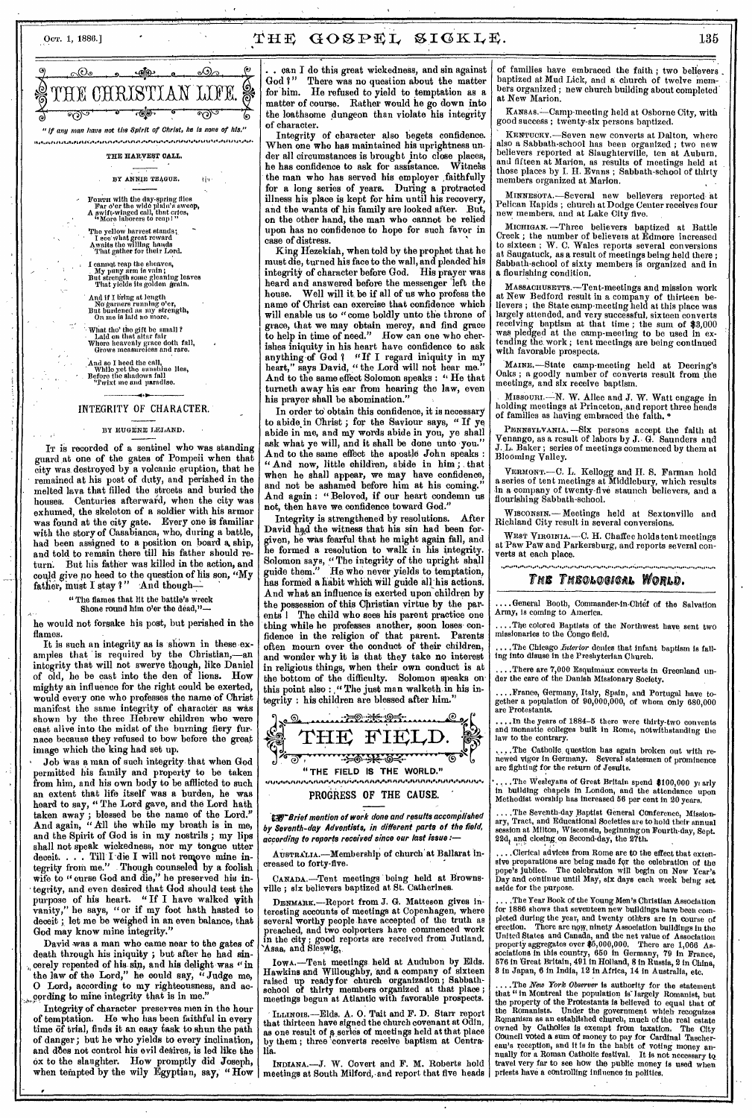### Oct. 1, 1886.]  $\mathbf{THE}$   $\mathbf{GOSPEL}$   $\mathbf{SIGKLE}$ . 135



BY ANNIE TEAGUE. III.

- Form with the day-spring flies<br>
Far o'er the wide plain's sweep,<br>A swift-winged call, that cries,<br>
"More laborers to reap!"
- The yellow harvest stands;<br>I see what great reward<br>Awaits the willing hands<br>That gather for their Lord.
- I cannot reap the sheaves, My puny arm is vain ; But strength some gleaning leaves That yields its golden grain.
- ' And if I bring at length No garners running o'er, But burdened as my strength, On me is laid no more,
- What tho' the gift be small ? Laid on that altar fair Where heavenly grace doth fall, Grows measureless and rare.

And so I heed the call,<br>While yet the sunshine 11es,<br>Before the shadows fall<br>"Twixt me and paradise.

#### INTEGRITY OF CHARACTER.

### BY EUGENE LELAND.

IT is recorded of a sentinel who was standing guard at one of the gates of Pompeii when that city was destroyed by a volcanic eruption, that he remained at his post of duty, and perished in the melted lava that filled the streets and buried the houses. Centuries afterward, when the city was exhumed, the skeleton of a soldier with his armor was found at the city gate. Every one is familiar with the story of Casablanca, who, during a battle, had been assigned to a position on board a ship, and told to remain there till his father should return. But his father was killed in the action, and could *give* no heed to the question of his son, "My father, must I stay  $\mathbf{i}$  " And though-

"The flames that lit the battle's wreck

Shone round him o'er the dead," he would not forsake his post, but perished in the

flames.<br>It is such an integrity as is shown in these examples that is required by the Christian,—an integrity that will not swerve though, like Daniel of old, he be cast into the den of lions. How mighty an influence for the right could be exerted, would every one who professes the name of Christ manifest the same integrity of character as was shown by the three Hebrew children who were cast alive into the midst of the burning fiery furnace because they refused to bow before the great image which the king had set up.

Job was a man of such integrity that when God permitted his family and property to be taken from him, and his own body to be afflicted to such an extent that life itself was a burden, he was heard to say, " The Lord gave, and the Lord hath taken away ; blessed be the name of the Lord." And again, " All the while my breath is in me, and the Spirit of God is in my nostrils ; my lips shall not speak wickedness, nor my tongue utter deceit. . . . Till I die I will not remove mine integrity from me." Though counseled by a foolish wife to "curse God and die," he preserved his integrity, and even desired that God should test the purpose of his heart. " If I have walked with vanity," he says, "or if my foot hath hasted to deceit ; let me be weighed in an even balance, that God may know mine integrity."

David was a man who came near to the gates of death through his iniquity ; but after he had sincerely repented of his sin, and his delight was "in the law of the Lord," he could say, " Judge me, 0 Lord, according to my righteousness, and ac- ,9ording to mine integrity that is in me."

Integrity of character preserves men in the hour of temptation. He who has been faithful in every time of trial, finds it an easy task to shun the path of danger; but he who yields to every inclination, and does not control his evil desires, is led like the ox to the slaughter. How promptly did Joseph, when tempted by the wily Egyptian, say, "How

. can I do this great wickedness, and sin against God ?" There was no question about the matter God?" There was no question about the matter for him. He refused to yield to temptation as a matter of course. Rather would he go down into the loathsome dungeon than violate his integrity of character.

Integrity of character also begets confidence. When one who has maintained his uprightness under all circumstances is brought jnto close places, he has confidence to ask for assistance. Witnehs the man who has served his employer faithfully for a long series of years. During a protracted illness his place is kept for him until his recovery, and the wants of his family are looked after. But, on the other hand, the man who cannot be relied upon has no confidence to hope for such favor in case of distress.

King Hezekiah, when told by the prophet that he must die, turned his face to the wall, and pleaded-his integrity of character before God. His prayer was heard and answered before the messenger 'left the house. Well will it, be if all of us who profess the name of Christ can exercise that confidence which will enable us to "come boldly unto the throne of grace, that we may obtain mercy, and find grace to help in time of need." How can one who cherishes iniquity in his heart have confidence to ask anything of God ? "If I regard iniquity in my heart," says David, "the Lord will not hear me." And to the same effect Solomon speaks : " He that turneth away his ear from hearing the law, even his prayer shall be abomination."

In order to obtain this confidence, it is necessary to abide in Christ; for the Saviour says, " If ye abide in me, and my words abide in you, ye shall ask what ye will, and it shall be done unto you." And to the same effect the apostle John speaks : And now, little children, abide in him; that when he shall appear, we may have confidence, and not be ashamed before him at his coming. And again : " Beloved, if our heart condemn us not, then have we confidence toward God."

Integrity is strengthened by resolutions. David had the witness that his sin had been forgiven, he was fearful that he might again fall, and he formed a resolution to walk in his integrity. Solomon says, " The integrity of the upright shall guide them." He who never yields to temptation, has formed a habit which will guide all his actions. And what an influence is exerted upon children by the possession of this Christian virtue by the par-The child who sees his parent practice one thing while he professes another, soon loses• confidence in the religion of that parent. Parents often mourn over the conduct of their children, and wonder why it is that they take no interest in religious things, when their own conduct is at the bottom of the difficulty. Solomon speaks on this point also : ," The just man walketh in his integrity : his children are blessed after him."



**" THE FIELD IS THE WORLD."** 

### PROGRESS OF THE CAUSE.

**125 Brief mention of work done and results accomplished** by Seventh-day Adventists, in different parts of the field, according to reports received since our last issue :—

AUSTRALIA. - Membership of church at Ballarat increased to forty-five.

CANADA.—Tent meetings being held at Brownsville ; six believers baptized at St. Catherines.

DENMARK.—Report from J. G. Matteson gives interesting accounts of meetings at Copenhagen, where several worthy people have accepted of the truth as preached, and two colporters have commenced work in the city ; good reports are received from Jutland, 'Asaa, and Sleswig,

IOWA.—Tent meetings held at Audubon by Eds. Hawkins and Willoughby, and a company of sixteen raised up ready for church organization ; Sabbath-school of thirty members organized at that place ; meetings begun at Atlantic with favorable prospects.

ILLmors.—Elds. A. 0. Tait and F. D. Starr report that thirteen have signed the church covenant at Odin, as one result of a series of meetings held at that place by them ; three 'converts receive baptism at Centralia.

INDIANA.—J. W. Covert and F. M. Roberts hold meetings at South Milford, and report that five heads

of families have embraced the faith ; two believers baptized at Mud Lick, and a church of twelve members organized ; new church building about completed at New Marion.

KANSAS.—Camp-meeting held at Osborne City, with good success ; twenty-six persons baptized.

KENTocx.Y.—Seven new converts at Dalton, where also a Sabbath-school has been organized ; two new believers reported at Slaughterville, ten at Auburn, and fifteen at Marion, as results of meetings held at those places by I. H. Evans ; Sabbath-school of thirty members organized at Marion.

MINNESOTA.—Several new believers reported at Pelican Rapids ; church at Dodge Center receives four new members, and at Lake City five.

MICHIGAN. —Three believers baptized at Battle Creek ; the number of believers at Edmore increased to sixteen ; W. C. Wales reports several conversions at Saugatuck, as a result of meetings being held there ; Sabbath-school of sixty members is organized and in a flourishing condition.

MASSACRUSETTS.—Tent-meetings and mission work at New Bedford result in a company of thirteen believers ; the State camp-meeting held at this place was largely attended, and very successful, sixteen converts receiving baptism at that time ; the sum of \$8,000 was pledged at the camp-meeting to be used in extending the work ; tent meetings are being continued with favorable prospects.

MAINE.—State camp-meeting held at Deering's Oaks ; a goodly number of converts result from the meetings, and six receive baptism.

MISSOURI.—N. W. Allee and J. W. Watt engage in holding meetings at Princeton, and report three heads of families as haying embraced the faith. °

PENNSYLVANIA. —Six persons accept the faith at Yenango, as a result of labors by J. G. Saunders and J. L. Baker ; series of meetings commenced by them at Blooming Valley.

VERMONT.—C. L. Kellogg and H. S. Farman hold a series of tent meetings at Middlebury, which results in a company of twenty-flve staunch believers, and a flourishing Sabbath-school.

Wiscomix.— Meetings held at Sextonville and Richland City result in several conversions.

WEST VIRGINIA.--C. H. Chaffee holds tent meetings at Paw Paw and Parkersburg, and reports several converts at each place.

### *THE THEOLOGICAL WORLD.*

....General Booth, Commander-in-Chief of the Salvation Army, is coming to America.

....Tile colored Baptists of the Northwest have sent two missionaries to the Congo field.

....The Chicago *Interior* denies that infant baptism is fall-ing into disuse in the Presbyterian Church.

....There are 7,000 Esquimaux converts in Greenland un-der the care of the Danish Missionary Society.

....France, Germany, Italy, Spain, and Portugal have together a population of 90,000,000, of whom only 680,000 are Protestants.

....In the years of 1884-5 there were thirty-two convents and monastic colleges built in Rome, notwithstanding the to the contrary.

, .The Catholic, question has again broken out with re-newed vigor in Germany. Several statesmen of prominence are fighting for the return of Jesuits.

....The Wesleyans of Great Britain spend \$100,000 y( arly in building chapels in London, and the attendance upon Methodist worship has increased 56 per cent in 20 years.

....The Seventh-day Baptist General Conference, Missionary, Tract, and Educational Societies are to hold their annual<br>session at Milton, Wisconsin, beginning on Fourth-day, Sept.<br>22d, and closing on Second-day, the 27th.

....Clerical advises from Rome are to the effect that exten-sive preparations are being made for the celebration of the pope's Jubilee. The celebration will begin on New Year's Day and continue until May, six days each week being set aside for the purpose.

.The Year Book of the Young Men's Christian Association for 1886 shows that seventeen new buildings have been com-pleted during the year, and twenty othbrs are in course of erection. There are now, ninety Association buildings in the United States and Canada, and the net value of Association property aggregates over \$5, 000,000. There are 1,066 As-sociations in this country, 650 in Germany, 79 in France, 576 in 'Great Britain, 491 in Holland, 8 in Russia, 2 in China, 8 in Japan, 6 in India, 12 in Africa, 14 in Australia, etc.

....The New York Observer is authority for the statement<br>that "in Montreal the population is largely Romanist, but<br>the property of the Protestants is believed to equal that of<br>the Romanists. Under the government which reco nually for a Roman Catholic festival. It is not necessary to travel very far to see how the public money is used when priests have a controlling influence in politics.